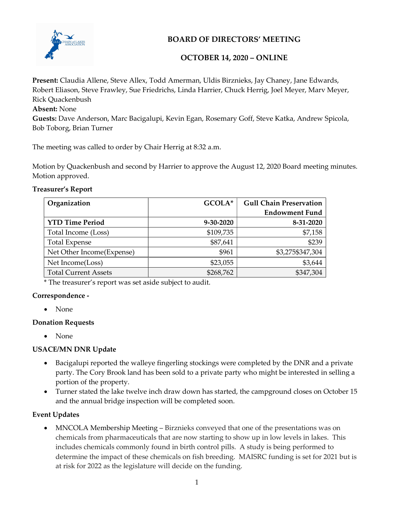

BOARD OF DIRECTORS' MEETING

## OCTOBER 14, 2020 – ONLINE

Present: Claudia Allene, Steve Allex, Todd Amerman, Uldis Birznieks, Jay Chaney, Jane Edwards, Robert Eliason, Steve Frawley, Sue Friedrichs, Linda Harrier, Chuck Herrig, Joel Meyer, Marv Meyer, Rick Quackenbush Absent: None

Guests: Dave Anderson, Marc Bacigalupi, Kevin Egan, Rosemary Goff, Steve Katka, Andrew Spicola, Bob Toborg, Brian Turner

The meeting was called to order by Chair Herrig at 8:32 a.m.

Motion by Quackenbush and second by Harrier to approve the August 12, 2020 Board meeting minutes. Motion approved.

## Treasurer's Report

| Organization                | GCOLA*    | <b>Gull Chain Preservation</b> |
|-----------------------------|-----------|--------------------------------|
|                             |           | <b>Endowment Fund</b>          |
| <b>YTD Time Period</b>      | 9-30-2020 | 8-31-2020                      |
| Total Income (Loss)         | \$109,735 | \$7,158                        |
| <b>Total Expense</b>        | \$87,641  | \$239                          |
| Net Other Income(Expense)   | \$961     | \$3,275\$347,304               |
| Net Income(Loss)            | \$23,055  | \$3,644                        |
| <b>Total Current Assets</b> | \$268,762 | \$347,304                      |

\* The treasurer's report was set aside subject to audit.

## Correspondence -

• None

## Donation Requests

• None

## USACE/MN DNR Update

- Bacigalupi reported the walleye fingerling stockings were completed by the DNR and a private party. The Cory Brook land has been sold to a private party who might be interested in selling a portion of the property.
- Turner stated the lake twelve inch draw down has started, the campground closes on October 15 and the annual bridge inspection will be completed soon.

## Event Updates

 MNCOLA Membership Meeting – Birznieks conveyed that one of the presentations was on chemicals from pharmaceuticals that are now starting to show up in low levels in lakes. This includes chemicals commonly found in birth control pills. A study is being performed to determine the impact of these chemicals on fish breeding. MAISRC funding is set for 2021 but is at risk for 2022 as the legislature will decide on the funding.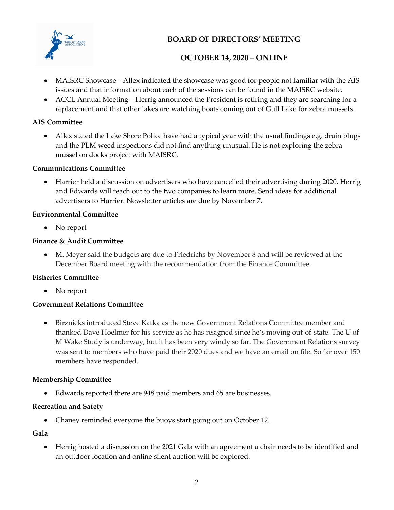

## BOARD OF DIRECTORS' MEETING

## OCTOBER 14, 2020 – ONLINE

- MAISRC Showcase Allex indicated the showcase was good for people not familiar with the AIS issues and that information about each of the sessions can be found in the MAISRC website.
- ACCL Annual Meeting Herrig announced the President is retiring and they are searching for a replacement and that other lakes are watching boats coming out of Gull Lake for zebra mussels.

## AIS Committee

 Allex stated the Lake Shore Police have had a typical year with the usual findings e.g. drain plugs and the PLM weed inspections did not find anything unusual. He is not exploring the zebra mussel on docks project with MAISRC.

## Communications Committee

 Harrier held a discussion on advertisers who have cancelled their advertising during 2020. Herrig and Edwards will reach out to the two companies to learn more. Send ideas for additional advertisers to Harrier. Newsletter articles are due by November 7.

#### Environmental Committee

• No report

## Finance & Audit Committee

 M. Meyer said the budgets are due to Friedrichs by November 8 and will be reviewed at the December Board meeting with the recommendation from the Finance Committee.

## Fisheries Committee

• No report

## Government Relations Committee

 Birznieks introduced Steve Katka as the new Government Relations Committee member and thanked Dave Hoelmer for his service as he has resigned since he's moving out-of-state. The U of M Wake Study is underway, but it has been very windy so far. The Government Relations survey was sent to members who have paid their 2020 dues and we have an email on file. So far over 150 members have responded.

## Membership Committee

Edwards reported there are 948 paid members and 65 are businesses.

## Recreation and Safety

Chaney reminded everyone the buoys start going out on October 12.

#### Gala

 Herrig hosted a discussion on the 2021 Gala with an agreement a chair needs to be identified and an outdoor location and online silent auction will be explored.